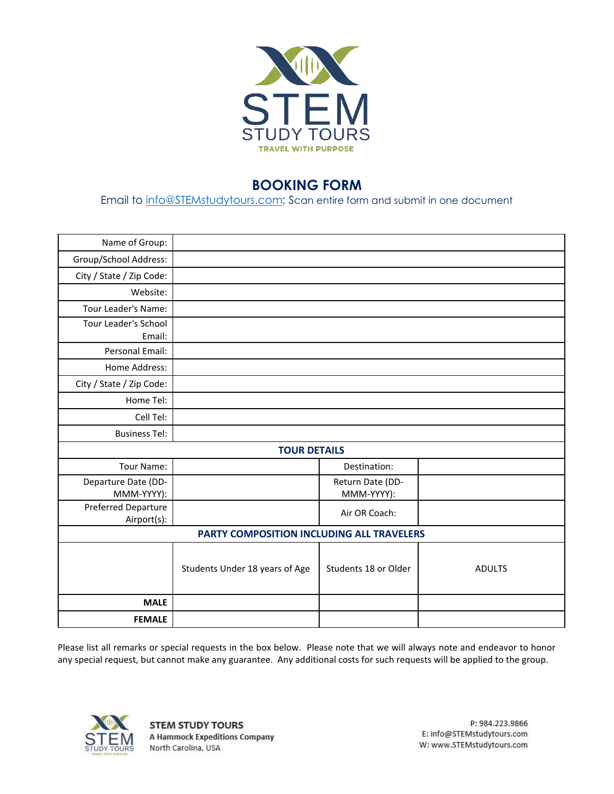

## **BOOKING FORM**

Email to [info@STEMstudytours.com;](mailto:info@STEMstudytours.com) Scan entire form and submit in one document

| Name of Group:                     |                                           |                                |               |  |  |
|------------------------------------|-------------------------------------------|--------------------------------|---------------|--|--|
| Group/School Address:              |                                           |                                |               |  |  |
| City / State / Zip Code:           |                                           |                                |               |  |  |
| Website:                           |                                           |                                |               |  |  |
| Tour Leader's Name:                |                                           |                                |               |  |  |
| Tour Leader's School<br>Email:     |                                           |                                |               |  |  |
| Personal Email:                    |                                           |                                |               |  |  |
| Home Address:                      |                                           |                                |               |  |  |
| City / State / Zip Code:           |                                           |                                |               |  |  |
| Home Tel:                          |                                           |                                |               |  |  |
| Cell Tel:                          |                                           |                                |               |  |  |
| <b>Business Tel:</b>               |                                           |                                |               |  |  |
| <b>TOUR DETAILS</b>                |                                           |                                |               |  |  |
| Tour Name:                         |                                           | Destination:                   |               |  |  |
| Departure Date (DD-<br>MMM-YYYY):  |                                           | Return Date (DD-<br>MMM-YYYY): |               |  |  |
| Preferred Departure<br>Airport(s): |                                           | Air OR Coach:                  |               |  |  |
|                                    | PARTY COMPOSITION INCLUDING ALL TRAVELERS |                                |               |  |  |
|                                    | Students Under 18 years of Age            | Students 18 or Older           | <b>ADULTS</b> |  |  |
| <b>MALE</b>                        |                                           |                                |               |  |  |
| <b>FEMALE</b>                      |                                           |                                |               |  |  |

Please list all remarks or special requests in the box below. Please note that we will always note and endeavor to honor any special request, but cannot make any guarantee. Any additional costs for such requests will be applied to the group.

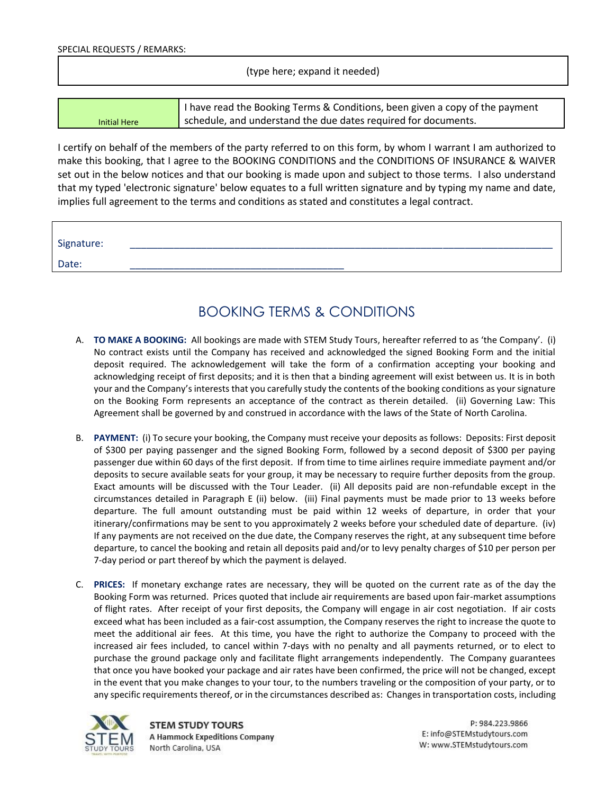(type here; expand it needed)

|                     | I have read the Booking Terms & Conditions, been given a copy of the payment |
|---------------------|------------------------------------------------------------------------------|
| <b>Initial Here</b> | schedule, and understand the due dates required for documents.               |

I certify on behalf of the members of the party referred to on this form, by whom I warrant I am authorized to make this booking, that I agree to the BOOKING CONDITIONS and the CONDITIONS OF INSURANCE & WAIVER set out in the below notices and that our booking is made upon and subject to those terms. I also understand that my typed 'electronic signature' below equates to a full written signature and by typing my name and date, implies full agreement to the terms and conditions as stated and constitutes a legal contract.

| Signature: |  |
|------------|--|
| Date:      |  |

## BOOKING TERMS & CONDITIONS

- A. **TO MAKE A BOOKING:** All bookings are made with STEM Study Tours, hereafter referred to as 'the Company'. (i) No contract exists until the Company has received and acknowledged the signed Booking Form and the initial deposit required. The acknowledgement will take the form of a confirmation accepting your booking and acknowledging receipt of first deposits; and it is then that a binding agreement will exist between us. It is in both your and the Company's interests that you carefully study the contents of the booking conditions as your signature on the Booking Form represents an acceptance of the contract as therein detailed. (ii) Governing Law: This Agreement shall be governed by and construed in accordance with the laws of the State of North Carolina.
- B. **PAYMENT:** (i) To secure your booking, the Company must receive your deposits as follows: Deposits: First deposit of \$300 per paying passenger and the signed Booking Form, followed by a second deposit of \$300 per paying passenger due within 60 days of the first deposit. If from time to time airlines require immediate payment and/or deposits to secure available seats for your group, it may be necessary to require further deposits from the group. Exact amounts will be discussed with the Tour Leader. (ii) All deposits paid are non-refundable except in the circumstances detailed in Paragraph E (ii) below. (iii) Final payments must be made prior to 13 weeks before departure. The full amount outstanding must be paid within 12 weeks of departure, in order that your itinerary/confirmations may be sent to you approximately 2 weeks before your scheduled date of departure. (iv) If any payments are not received on the due date, the Company reserves the right, at any subsequent time before departure, to cancel the booking and retain all deposits paid and/or to levy penalty charges of \$10 per person per 7-day period or part thereof by which the payment is delayed.
- C. **PRICES:** If monetary exchange rates are necessary, they will be quoted on the current rate as of the day the Booking Form was returned. Prices quoted that include air requirements are based upon fair-market assumptions of flight rates. After receipt of your first deposits, the Company will engage in air cost negotiation. If air costs exceed what has been included as a fair-cost assumption, the Company reserves the right to increase the quote to meet the additional air fees. At this time, you have the right to authorize the Company to proceed with the increased air fees included, to cancel within 7-days with no penalty and all payments returned, or to elect to purchase the ground package only and facilitate flight arrangements independently. The Company guarantees that once you have booked your package and air rates have been confirmed, the price will not be changed, except in the event that you make changes to your tour, to the numbers traveling or the composition of your party, or to any specific requirements thereof, or in the circumstances described as: Changes in transportation costs, including



**STEM STUDY TOURS** A Hammock Expeditions Company North Carolina, USA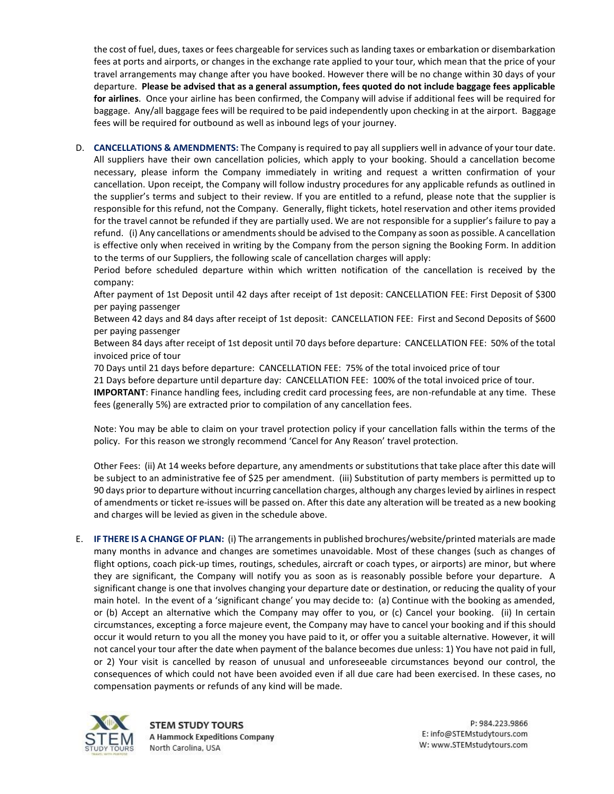the cost of fuel, dues, taxes or fees chargeable for services such as landing taxes or embarkation or disembarkation fees at ports and airports, or changes in the exchange rate applied to your tour, which mean that the price of your travel arrangements may change after you have booked. However there will be no change within 30 days of your departure. **Please be advised that as a general assumption, fees quoted do not include baggage fees applicable for airlines**. Once your airline has been confirmed, the Company will advise if additional fees will be required for baggage. Any/all baggage fees will be required to be paid independently upon checking in at the airport. Baggage fees will be required for outbound as well as inbound legs of your journey.

D. **CANCELLATIONS & AMENDMENTS:** The Company is required to pay all suppliers well in advance of your tour date. All suppliers have their own cancellation policies, which apply to your booking. Should a cancellation become necessary, please inform the Company immediately in writing and request a written confirmation of your cancellation. Upon receipt, the Company will follow industry procedures for any applicable refunds as outlined in the supplier's terms and subject to their review. If you are entitled to a refund, please note that the supplier is responsible for this refund, not the Company. Generally, flight tickets, hotel reservation and other items provided for the travel cannot be refunded if they are partially used. We are not responsible for a supplier's failure to pay a refund. (i) Any cancellations or amendments should be advised to the Company as soon as possible. A cancellation is effective only when received in writing by the Company from the person signing the Booking Form. In addition to the terms of our Suppliers, the following scale of cancellation charges will apply:

Period before scheduled departure within which written notification of the cancellation is received by the company:

After payment of 1st Deposit until 42 days after receipt of 1st deposit: CANCELLATION FEE: First Deposit of \$300 per paying passenger

Between 42 days and 84 days after receipt of 1st deposit: CANCELLATION FEE: First and Second Deposits of \$600 per paying passenger

Between 84 days after receipt of 1st deposit until 70 days before departure: CANCELLATION FEE: 50% of the total invoiced price of tour

70 Days until 21 days before departure: CANCELLATION FEE: 75% of the total invoiced price of tour

21 Days before departure until departure day: CANCELLATION FEE: 100% of the total invoiced price of tour.

**IMPORTANT**: Finance handling fees, including credit card processing fees, are non-refundable at any time. These fees (generally 5%) are extracted prior to compilation of any cancellation fees.

Note: You may be able to claim on your travel protection policy if your cancellation falls within the terms of the policy. For this reason we strongly recommend 'Cancel for Any Reason' travel protection.

Other Fees: (ii) At 14 weeks before departure, any amendments or substitutions that take place after this date will be subject to an administrative fee of \$25 per amendment. (iii) Substitution of party members is permitted up to 90 days prior to departure without incurring cancellation charges, although any charges levied by airlines in respect of amendments or ticket re-issues will be passed on. After this date any alteration will be treated as a new booking and charges will be levied as given in the schedule above.

E. **IF THERE IS A CHANGE OF PLAN:** (i) The arrangements in published brochures/website/printed materials are made many months in advance and changes are sometimes unavoidable. Most of these changes (such as changes of flight options, coach pick-up times, routings, schedules, aircraft or coach types, or airports) are minor, but where they are significant, the Company will notify you as soon as is reasonably possible before your departure. A significant change is one that involves changing your departure date or destination, or reducing the quality of your main hotel. In the event of a 'significant change' you may decide to: (a) Continue with the booking as amended, or (b) Accept an alternative which the Company may offer to you, or (c) Cancel your booking. (ii) In certain circumstances, excepting a force majeure event, the Company may have to cancel your booking and if this should occur it would return to you all the money you have paid to it, or offer you a suitable alternative. However, it will not cancel your tour after the date when payment of the balance becomes due unless: 1) You have not paid in full, or 2) Your visit is cancelled by reason of unusual and unforeseeable circumstances beyond our control, the consequences of which could not have been avoided even if all due care had been exercised. In these cases, no compensation payments or refunds of any kind will be made.



**STEM STUDY TOURS A Hammock Expeditions Company** North Carolina, USA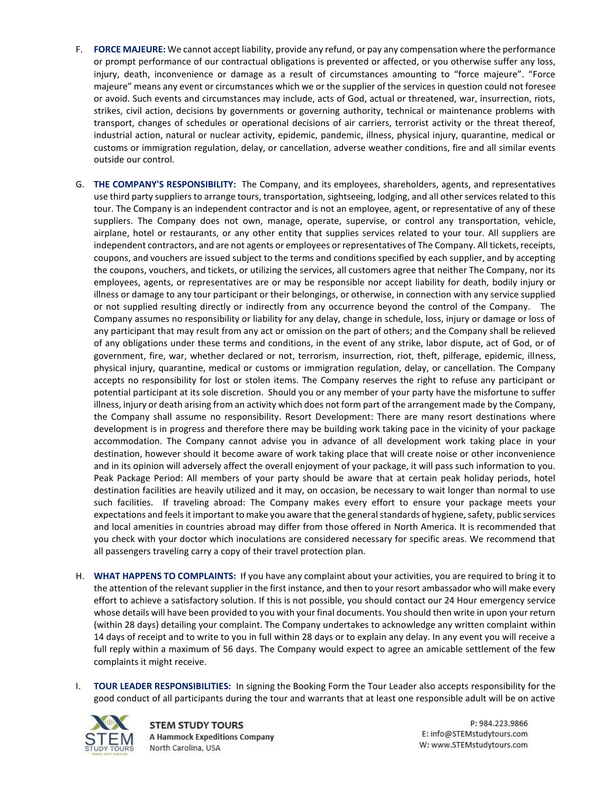- F. **FORCE MAJEURE:** We cannot accept liability, provide any refund, or pay any compensation where the performance or prompt performance of our contractual obligations is prevented or affected, or you otherwise suffer any loss, injury, death, inconvenience or damage as a result of circumstances amounting to "force majeure". "Force majeure" means any event or circumstances which we or the supplier of the services in question could not foresee or avoid. Such events and circumstances may include, acts of God, actual or threatened, war, insurrection, riots, strikes, civil action, decisions by governments or governing authority, technical or maintenance problems with transport, changes of schedules or operational decisions of air carriers, terrorist activity or the threat thereof, industrial action, natural or nuclear activity, epidemic, pandemic, illness, physical injury, quarantine, medical or customs or immigration regulation, delay, or cancellation, adverse weather conditions, fire and all similar events outside our control.
- G. **THE COMPANY'S RESPONSIBILITY:** The Company, and its employees, shareholders, agents, and representatives use third party suppliers to arrange tours, transportation, sightseeing, lodging, and all other services related to this tour. The Company is an independent contractor and is not an employee, agent, or representative of any of these suppliers. The Company does not own, manage, operate, supervise, or control any transportation, vehicle, airplane, hotel or restaurants, or any other entity that supplies services related to your tour. All suppliers are independent contractors, and are not agents or employees or representatives of The Company. All tickets, receipts, coupons, and vouchers are issued subject to the terms and conditions specified by each supplier, and by accepting the coupons, vouchers, and tickets, or utilizing the services, all customers agree that neither The Company, nor its employees, agents, or representatives are or may be responsible nor accept liability for death, bodily injury or illness or damage to any tour participant or their belongings, or otherwise, in connection with any service supplied or not supplied resulting directly or indirectly from any occurrence beyond the control of the Company. The Company assumes no responsibility or liability for any delay, change in schedule, loss, injury or damage or loss of any participant that may result from any act or omission on the part of others; and the Company shall be relieved of any obligations under these terms and conditions, in the event of any strike, labor dispute, act of God, or of government, fire, war, whether declared or not, terrorism, insurrection, riot, theft, pilferage, epidemic, illness, physical injury, quarantine, medical or customs or immigration regulation, delay, or cancellation. The Company accepts no responsibility for lost or stolen items. The Company reserves the right to refuse any participant or potential participant at its sole discretion. Should you or any member of your party have the misfortune to suffer illness, injury or death arising from an activity which does not form part of the arrangement made by the Company, the Company shall assume no responsibility. Resort Development: There are many resort destinations where development is in progress and therefore there may be building work taking pace in the vicinity of your package accommodation. The Company cannot advise you in advance of all development work taking place in your destination, however should it become aware of work taking place that will create noise or other inconvenience and in its opinion will adversely affect the overall enjoyment of your package, it will pass such information to you. Peak Package Period: All members of your party should be aware that at certain peak holiday periods, hotel destination facilities are heavily utilized and it may, on occasion, be necessary to wait longer than normal to use such facilities. If traveling abroad: The Company makes every effort to ensure your package meets your expectations and feels it important to make you aware that the general standards of hygiene, safety, public services and local amenities in countries abroad may differ from those offered in North America. It is recommended that you check with your doctor which inoculations are considered necessary for specific areas. We recommend that all passengers traveling carry a copy of their travel protection plan.
- H. **WHAT HAPPENS TO COMPLAINTS:** If you have any complaint about your activities, you are required to bring it to the attention of the relevant supplier in the first instance, and then to your resort ambassador who will make every effort to achieve a satisfactory solution. If this is not possible, you should contact our 24 Hour emergency service whose details will have been provided to you with your final documents. You should then write in upon your return (within 28 days) detailing your complaint. The Company undertakes to acknowledge any written complaint within 14 days of receipt and to write to you in full within 28 days or to explain any delay. In any event you will receive a full reply within a maximum of 56 days. The Company would expect to agree an amicable settlement of the few complaints it might receive.
- I. **TOUR LEADER RESPONSIBILITIES:** In signing the Booking Form the Tour Leader also accepts responsibility for the good conduct of all participants during the tour and warrants that at least one responsible adult will be on active



**STEM STUDY TOURS A Hammock Expeditions Company** North Carolina, USA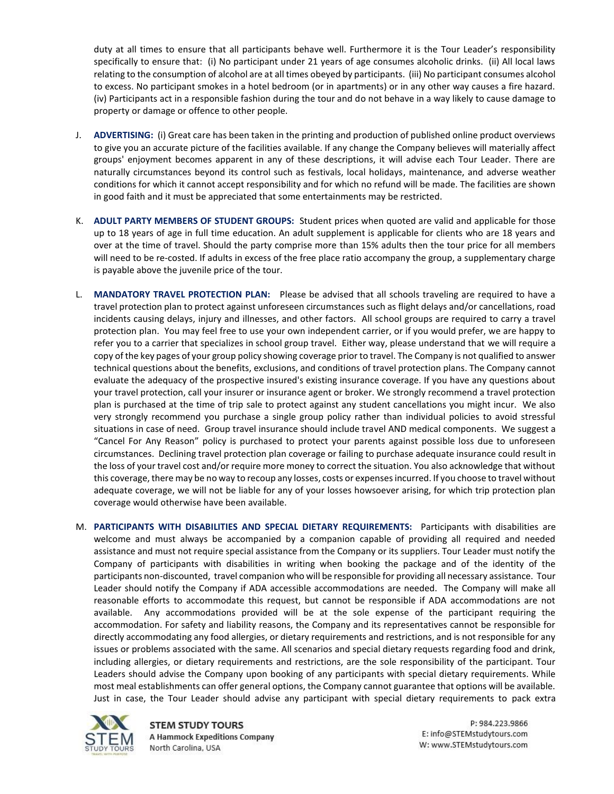duty at all times to ensure that all participants behave well. Furthermore it is the Tour Leader's responsibility specifically to ensure that: (i) No participant under 21 years of age consumes alcoholic drinks. (ii) All local laws relating to the consumption of alcohol are at all times obeyed by participants. (iii) No participant consumes alcohol to excess. No participant smokes in a hotel bedroom (or in apartments) or in any other way causes a fire hazard. (iv) Participants act in a responsible fashion during the tour and do not behave in a way likely to cause damage to property or damage or offence to other people.

- J. **ADVERTISING:** (i) Great care has been taken in the printing and production of published online product overviews to give you an accurate picture of the facilities available. If any change the Company believes will materially affect groups' enjoyment becomes apparent in any of these descriptions, it will advise each Tour Leader. There are naturally circumstances beyond its control such as festivals, local holidays, maintenance, and adverse weather conditions for which it cannot accept responsibility and for which no refund will be made. The facilities are shown in good faith and it must be appreciated that some entertainments may be restricted.
- K. **ADULT PARTY MEMBERS OF STUDENT GROUPS:** Student prices when quoted are valid and applicable for those up to 18 years of age in full time education. An adult supplement is applicable for clients who are 18 years and over at the time of travel. Should the party comprise more than 15% adults then the tour price for all members will need to be re-costed. If adults in excess of the free place ratio accompany the group, a supplementary charge is payable above the juvenile price of the tour.
- L. **MANDATORY TRAVEL PROTECTION PLAN:** Please be advised that all schools traveling are required to have a travel protection plan to protect against unforeseen circumstances such as flight delays and/or cancellations, road incidents causing delays, injury and illnesses, and other factors. All school groups are required to carry a travel protection plan. You may feel free to use your own independent carrier, or if you would prefer, we are happy to refer you to a carrier that specializes in school group travel. Either way, please understand that we will require a copy of the key pages of your group policy showing coverage prior to travel. The Company is not qualified to answer technical questions about the benefits, exclusions, and conditions of travel protection plans. The Company cannot evaluate the adequacy of the prospective insured's existing insurance coverage. If you have any questions about your travel protection, call your insurer or insurance agent or broker. We strongly recommend a travel protection plan is purchased at the time of trip sale to protect against any student cancellations you might incur. We also very strongly recommend you purchase a single group policy rather than individual policies to avoid stressful situations in case of need. Group travel insurance should include travel AND medical components. We suggest a "Cancel For Any Reason" policy is purchased to protect your parents against possible loss due to unforeseen circumstances. Declining travel protection plan coverage or failing to purchase adequate insurance could result in the loss of your travel cost and/or require more money to correct the situation. You also acknowledge that without this coverage, there may be no way to recoup any losses, costs or expenses incurred. If you choose to travel without adequate coverage, we will not be liable for any of your losses howsoever arising, for which trip protection plan coverage would otherwise have been available.
- M. **PARTICIPANTS WITH DISABILITIES AND SPECIAL DIETARY REQUIREMENTS:** Participants with disabilities are welcome and must always be accompanied by a companion capable of providing all required and needed assistance and must not require special assistance from the Company or its suppliers. Tour Leader must notify the Company of participants with disabilities in writing when booking the package and of the identity of the participants non-discounted, travel companion who will be responsible for providing all necessary assistance. Tour Leader should notify the Company if ADA accessible accommodations are needed. The Company will make all reasonable efforts to accommodate this request, but cannot be responsible if ADA accommodations are not available. Any accommodations provided will be at the sole expense of the participant requiring the accommodation. For safety and liability reasons, the Company and its representatives cannot be responsible for directly accommodating any food allergies, or dietary requirements and restrictions, and is not responsible for any issues or problems associated with the same. All scenarios and special dietary requests regarding food and drink, including allergies, or dietary requirements and restrictions, are the sole responsibility of the participant. Tour Leaders should advise the Company upon booking of any participants with special dietary requirements. While most meal establishments can offer general options, the Company cannot guarantee that options will be available. Just in case, the Tour Leader should advise any participant with special dietary requirements to pack extra



**STEM STUDY TOURS A Hammock Expeditions Company** North Carolina, USA